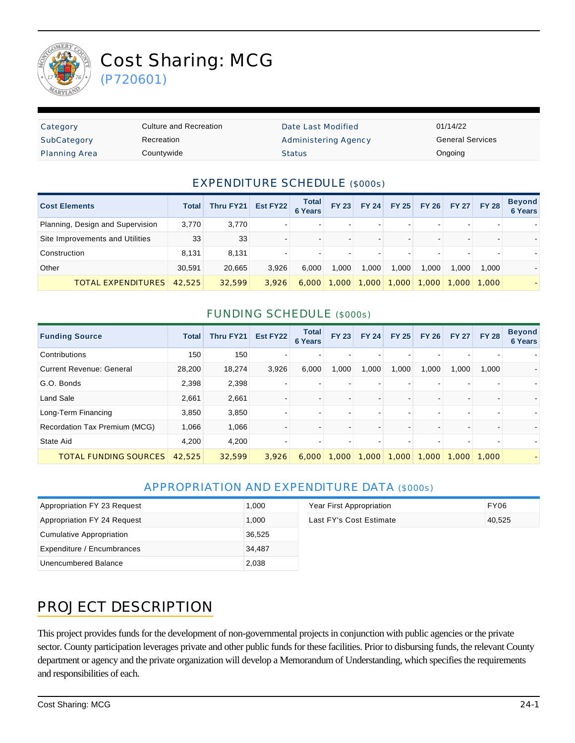

# Cost Sharing: MCG

(P720601)

| Category             | Culture and Recreation | Date Last Modified   | 01/14/22                |
|----------------------|------------------------|----------------------|-------------------------|
| SubCategory          | Recreation             | Administering Agency | <b>General Services</b> |
| <b>Planning Area</b> | Countywide             | <b>Status</b>        | Ongoing                 |

#### EXPENDITURE SCHEDULE (\$000s)

| <b>Cost Elements</b>             | <b>Total</b> | Thru FY21 | Est FY22 | <b>Total</b><br><b>6 Years</b> | <b>FY 23</b> | <b>FY 24</b> | <b>FY 25</b> | <b>FY 26</b> | <b>FY 27</b> | <b>FY 28</b> | <b>Beyond</b><br><b>6 Years</b> |
|----------------------------------|--------------|-----------|----------|--------------------------------|--------------|--------------|--------------|--------------|--------------|--------------|---------------------------------|
| Planning, Design and Supervision | 3,770        | 3,770     |          |                                |              |              |              |              |              | -            |                                 |
| Site Improvements and Utilities  | 33           | 33        |          |                                |              |              |              |              |              | -            |                                 |
| Construction                     | 8.131        | 8.131     |          |                                | $\sim$       |              |              |              |              | $\sim$       |                                 |
| Other                            | 30.591       | 20.665    | 3.926    | 6.000                          | 1.000        | 1.000        | 1.000        | 1.000        | 1,000        | 1.000        |                                 |
| <b>TOTAL EXPENDITURES</b>        | 42,525       | 32,599    | 3.926    | 6,000                          | 1,000        | 1,000        | 1,000        | 1,000        |              | 1,000 1,000  |                                 |

#### FUNDING SCHEDULE (\$000s)

| <b>Funding Source</b>           | <b>Total</b> | Thru FY21 | Est FY22 | <b>Total</b><br><b>6 Years</b> | <b>FY 23</b>   | <b>FY 24</b> | <b>FY 25</b> | <b>FY 26</b> | <b>FY 27</b> | <b>FY 28</b> | <b>Beyond</b><br><b>6 Years</b> |
|---------------------------------|--------------|-----------|----------|--------------------------------|----------------|--------------|--------------|--------------|--------------|--------------|---------------------------------|
| Contributions                   | 150          | 150       |          |                                | $\,$           |              |              |              |              |              |                                 |
| <b>Current Revenue: General</b> | 28,200       | 18,274    | 3,926    | 6,000                          | 1,000          | 1,000        | 1,000        | 1,000        | 1,000        | 1,000        |                                 |
| G.O. Bonds                      | 2,398        | 2,398     |          |                                | $\,$           |              |              |              |              |              |                                 |
| <b>Land Sale</b>                | 2,661        | 2,661     |          |                                | $\blacksquare$ |              |              |              |              |              |                                 |
| Long-Term Financing             | 3,850        | 3,850     |          |                                | ۰.             |              |              |              |              |              |                                 |
| Recordation Tax Premium (MCG)   | 1,066        | 1,066     |          |                                | $\blacksquare$ |              |              |              |              |              |                                 |
| State Aid                       | 4,200        | 4,200     |          |                                | $\blacksquare$ |              |              |              |              |              |                                 |
| <b>TOTAL FUNDING SOURCES</b>    | 42,525       | 32,599    | 3.926    | 6,000                          | 1,000          | 1,000        | 1,000        | 1,000        | 1,000        | 1,000        |                                 |

#### APPROPRIATION AND EXPENDITURE DATA (\$000s)

| Appropriation FY 23 Request | 1.000  | Year First Appropriation | FY06   |
|-----------------------------|--------|--------------------------|--------|
| Appropriation FY 24 Request | 1.000  | Last FY's Cost Estimate  | 40.525 |
| Cumulative Appropriation    | 36,525 |                          |        |
| Expenditure / Encumbrances  | 34.487 |                          |        |
| Unencumbered Balance        | 2,038  |                          |        |

## PROJECT DESCRIPTION

This project provides funds for the development of non-governmental projects in conjunction with public agencies or the private sector. County participation leverages private and other public funds for these facilities. Prior to disbursing funds, the relevant County department or agency and the private organization will develop a Memorandum of Understanding, which specifies the requirements and responsibilities of each.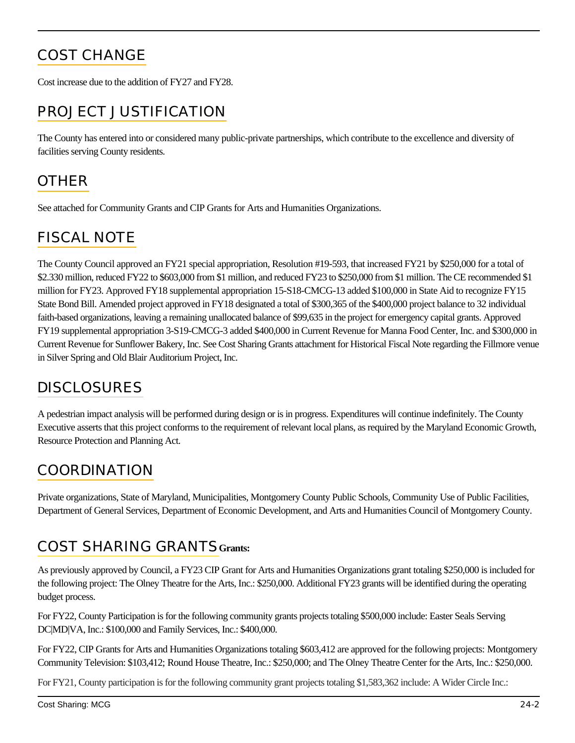# COST CHANGE

Cost increase due to the addition of FY27 and FY28.

## PROJECT JUSTIFICATION

The County has entered into or considered many public-private partnerships, which contribute to the excellence and diversity of facilities serving County residents.

## **OTHER**

See attached for Community Grants and CIP Grants for Arts and Humanities Organizations.

#### FISCAL NOTE

The County Council approved an FY21 special appropriation, Resolution #19-593, that increased FY21 by \$250,000 for a total of \$2.330 million, reduced FY22 to \$603,000 from \$1 million, and reduced FY23 to \$250,000 from \$1 million. The CE recommended \$1 million for FY23. Approved FY18 supplemental appropriation 15-S18-CMCG-13 added \$100,000 in State Aid to recognize FY15 State Bond Bill. Amended project approved in FY18 designated a total of \$300,365 of the \$400,000 project balance to 32 individual faith-based organizations, leaving a remaining unallocated balance of \$99,635 in the project for emergency capital grants. Approved FY19 supplemental appropriation 3-S19-CMCG-3 added \$400,000 in Current Revenue for Manna Food Center, Inc. and \$300,000 in Current Revenue for Sunflower Bakery, Inc. See Cost Sharing Grants attachment for Historical Fiscal Note regarding the Fillmore venue in Silver Spring and Old Blair Auditorium Project, Inc.

## **DISCLOSURES**

A pedestrian impact analysis will be performed during design or is in progress. Expenditures will continue indefinitely. The County Executive asserts that this project conforms to the requirement of relevant local plans, as required by the Maryland Economic Growth, Resource Protection and Planning Act.

#### COORDINATION

Private organizations, State of Maryland, Municipalities, Montgomery County Public Schools, Community Use of Public Facilities, Department of General Services, Department of Economic Development, and Arts and Humanities Council of Montgomery County.

#### COST SHARING GRANTS**Grants:**

As previously approved by Council, a FY23 CIP Grant for Arts and Humanities Organizations grant totaling \$250,000 is included for the following project: The Olney Theatre for the Arts, Inc.: \$250,000. Additional FY23 grants will be identified during the operating budget process.

For FY22, County Participation is for the following community grants projects totaling \$500,000 include: Easter Seals Serving DC|MD|VA, Inc.: \$100,000 and Family Services, Inc.: \$400,000.

For FY22, CIP Grants for Arts and Humanities Organizations totaling \$603,412 are approved for the following projects: Montgomery Community Television: \$103,412; Round House Theatre, Inc.: \$250,000; and The Olney Theatre Center for the Arts, Inc.: \$250,000.

For FY21, County participation is for the following community grant projects totaling \$1,583,362 include: A Wider Circle Inc.: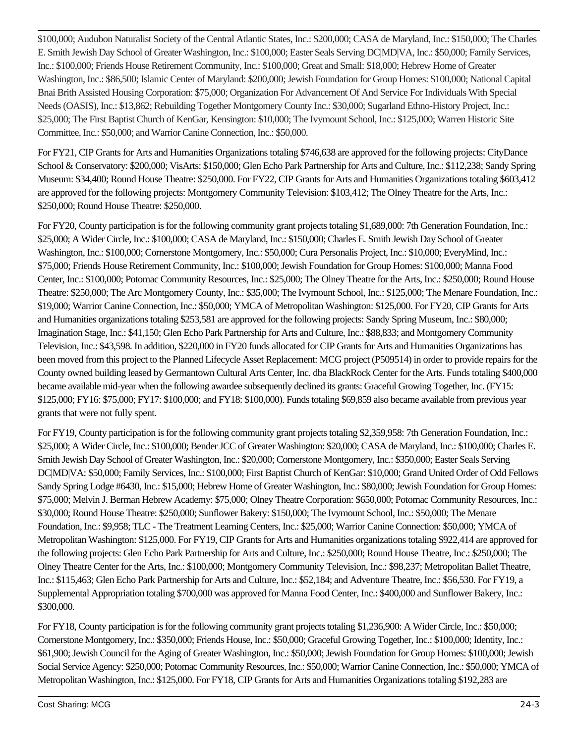\$100,000; Audubon Naturalist Society of the Central Atlantic States, Inc.: \$200,000; CASA de Maryland, Inc.: \$150,000; The Charles E. Smith Jewish Day School of Greater Washington, Inc.: \$100,000; Easter Seals Serving DC|MD|VA, Inc.: \$50,000; Family Services, Inc.: \$100,000; Friends House Retirement Community, Inc.: \$100,000; Great and Small: \$18,000; Hebrew Home of Greater Washington, Inc.: \$86,500; Islamic Center of Maryland: \$200,000; Jewish Foundation for Group Homes: \$100,000; National Capital Bnai Brith Assisted Housing Corporation: \$75,000; Organization For Advancement Of And Service For Individuals With Special Needs (OASIS), Inc.: \$13,862; Rebuilding Together Montgomery County Inc.: \$30,000; Sugarland Ethno-History Project, Inc.: \$25,000; The First Baptist Church of KenGar, Kensington: \$10,000; The Ivymount School, Inc.: \$125,000; Warren Historic Site Committee, Inc.: \$50,000; and Warrior Canine Connection, Inc.: \$50,000.

For FY21, CIP Grants for Arts and Humanities Organizations totaling \$746,638 are approved for the following projects: CityDance School & Conservatory: \$200,000; VisArts: \$150,000; Glen Echo Park Partnership for Arts and Culture, Inc.: \$112,238; Sandy Spring Museum: \$34,400; Round House Theatre: \$250,000. For FY22, CIP Grants for Arts and Humanities Organizations totaling \$603,412 are approved for the following projects: Montgomery Community Television: \$103,412; The Olney Theatre for the Arts, Inc.: \$250,000; Round House Theatre: \$250,000.

For FY20, County participation is for the following community grant projects totaling \$1,689,000: 7th Generation Foundation, Inc.: \$25,000; A Wider Circle, Inc.: \$100,000; CASA de Maryland, Inc.: \$150,000; Charles E. Smith Jewish Day School of Greater Washington, Inc.: \$100,000; Cornerstone Montgomery, Inc.: \$50,000; Cura Personalis Project, Inc.: \$10,000; EveryMind, Inc.: \$75,000; Friends House Retirement Community, Inc.: \$100,000; Jewish Foundation for Group Homes: \$100,000; Manna Food Center, Inc.: \$100,000; Potomac Community Resources, Inc.: \$25,000; The Olney Theatre for the Arts, Inc.: \$250,000; Round House Theatre: \$250,000; The Arc Montgomery County, Inc.: \$35,000; The Ivymount School, Inc.: \$125,000; The Menare Foundation, Inc.: \$19,000; Warrior Canine Connection, Inc.: \$50,000; YMCA of Metropolitan Washington: \$125,000. For FY20, CIP Grants for Arts and Humanities organizations totaling \$253,581 are approved for the following projects: Sandy Spring Museum, Inc.: \$80,000; Imagination Stage, Inc.: \$41,150; Glen Echo Park Partnership for Arts and Culture, Inc.: \$88,833; and Montgomery Community Television, Inc.: \$43,598. In addition, \$220,000 in FY20 funds allocated for CIP Grants for Arts and Humanities Organizations has been moved from this project to the Planned Lifecycle Asset Replacement: MCG project (P509514) in order to provide repairs for the County owned building leased by Germantown Cultural Arts Center, Inc. dba BlackRock Center for the Arts. Funds totaling \$400,000 became available mid-year when the following awardee subsequently declined its grants: Graceful Growing Together, Inc. (FY15: \$125,000; FY16: \$75,000; FY17: \$100,000; and FY18: \$100,000). Funds totaling \$69,859 also became available from previous year grants that were not fully spent.

For FY19, County participation is for the following community grant projects totaling \$2,359,958: 7th Generation Foundation, Inc.: \$25,000; A Wider Circle, Inc.: \$100,000; Bender JCC of Greater Washington: \$20,000; CASA de Maryland, Inc.: \$100,000; Charles E. Smith Jewish Day School of Greater Washington, Inc.: \$20,000; Cornerstone Montgomery, Inc.: \$350,000; Easter Seals Serving DC|MD|VA: \$50,000; Family Services, Inc.: \$100,000; First Baptist Church of KenGar: \$10,000; Grand United Order of Odd Fellows Sandy Spring Lodge #6430, Inc.: \$15,000; Hebrew Home of Greater Washington, Inc.: \$80,000; Jewish Foundation for Group Homes: \$75,000; Melvin J. Berman Hebrew Academy: \$75,000; Olney Theatre Corporation: \$650,000; Potomac Community Resources, Inc.: \$30,000; Round House Theatre: \$250,000; Sunflower Bakery: \$150,000; The Ivymount School, Inc.: \$50,000; The Menare Foundation, Inc.: \$9,958; TLC - The Treatment Learning Centers, Inc.: \$25,000; Warrior Canine Connection: \$50,000; YMCA of Metropolitan Washington: \$125,000. For FY19, CIP Grants for Arts and Humanities organizations totaling \$922,414 are approved for the following projects: Glen Echo Park Partnership for Arts and Culture, Inc.: \$250,000; Round House Theatre, Inc.: \$250,000; The Olney Theatre Center for the Arts, Inc.: \$100,000; Montgomery Community Television, Inc.: \$98,237; Metropolitan Ballet Theatre, Inc.: \$115,463; Glen Echo Park Partnership for Arts and Culture, Inc.: \$52,184; and Adventure Theatre, Inc.: \$56,530. For FY19, a Supplemental Appropriation totaling \$700,000 was approved for Manna Food Center, Inc.: \$400,000 and Sunflower Bakery, Inc.: \$300,000.

For FY18, County participation is for the following community grant projects totaling \$1,236,900: A Wider Circle, Inc.: \$50,000; Cornerstone Montgomery, Inc.: \$350,000; Friends House, Inc.: \$50,000; Graceful Growing Together, Inc.: \$100,000; Identity, Inc.: \$61,900; Jewish Council for the Aging of Greater Washington, Inc.: \$50,000; Jewish Foundation for Group Homes: \$100,000; Jewish Social Service Agency: \$250,000; Potomac Community Resources, Inc.: \$50,000; Warrior Canine Connection, Inc.: \$50,000; YMCA of Metropolitan Washington, Inc.: \$125,000. For FY18, CIP Grants for Arts and Humanities Organizations totaling \$192,283 are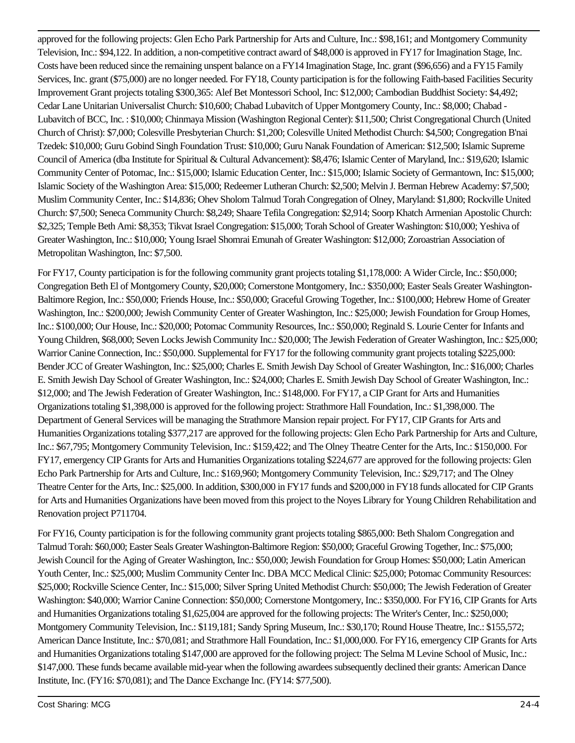approved for the following projects: Glen Echo Park Partnership for Arts and Culture, Inc.: \$98,161; and Montgomery Community Television, Inc.: \$94,122. In addition, a non-competitive contract award of \$48,000 is approved in FY17 for Imagination Stage, Inc. Costs have been reduced since the remaining unspent balance on a FY14 Imagination Stage, Inc. grant (\$96,656) and a FY15 Family Services, Inc. grant (\$75,000) are no longer needed. For FY18, County participation is for the following Faith-based Facilities Security Improvement Grant projects totaling \$300,365: Alef Bet Montessori School, Inc: \$12,000; Cambodian Buddhist Society: \$4,492; Cedar Lane Unitarian Universalist Church: \$10,600; Chabad Lubavitch of Upper Montgomery County, Inc.: \$8,000; Chabad - Lubavitch of BCC, Inc. : \$10,000; Chinmaya Mission (Washington Regional Center): \$11,500; Christ Congregational Church (United Church of Christ): \$7,000; Colesville Presbyterian Church: \$1,200; Colesville United Methodist Church: \$4,500; Congregation B'nai Tzedek: \$10,000; Guru Gobind Singh Foundation Trust: \$10,000; Guru Nanak Foundation of American: \$12,500; Islamic Supreme Council of America (dba Institute for Spiritual & Cultural Advancement): \$8,476; Islamic Center of Maryland, Inc.: \$19,620; Islamic Community Center of Potomac, Inc.: \$15,000; Islamic Education Center, Inc.: \$15,000; Islamic Society of Germantown, Inc: \$15,000; Islamic Society of the Washington Area: \$15,000; Redeemer Lutheran Church: \$2,500; Melvin J. Berman Hebrew Academy: \$7,500; Muslim Community Center, Inc.: \$14,836; Ohev Sholom Talmud Torah Congregation of Olney, Maryland: \$1,800; Rockville United Church: \$7,500; Seneca Community Church: \$8,249; Shaare Tefila Congregation: \$2,914; Soorp Khatch Armenian Apostolic Church: \$2,325; Temple Beth Ami: \$8,353; Tikvat Israel Congregation: \$15,000; Torah School of Greater Washington: \$10,000; Yeshiva of Greater Washington, Inc.: \$10,000; Young Israel Shomrai Emunah of Greater Washington: \$12,000; Zoroastrian Association of Metropolitan Washington, Inc: \$7,500.

For FY17, County participation is for the following community grant projects totaling \$1,178,000: A Wider Circle, Inc.: \$50,000; Congregation Beth El of Montgomery County, \$20,000; Cornerstone Montgomery, Inc.: \$350,000; Easter Seals Greater Washington-Baltimore Region, Inc.: \$50,000; Friends House, Inc.: \$50,000; Graceful Growing Together, Inc.: \$100,000; Hebrew Home of Greater Washington, Inc.: \$200,000; Jewish Community Center of Greater Washington, Inc.: \$25,000; Jewish Foundation for Group Homes, Inc.: \$100,000; Our House, Inc.: \$20,000; Potomac Community Resources, Inc.: \$50,000; Reginald S. Lourie Center for Infants and Young Children, \$68,000; Seven Locks Jewish Community Inc.: \$20,000; The Jewish Federation of Greater Washington, Inc.: \$25,000; Warrior Canine Connection, Inc.: \$50,000. Supplemental for FY17 for the following community grant projects totaling \$225,000: Bender JCC of Greater Washington, Inc.: \$25,000; Charles E. Smith Jewish Day School of Greater Washington, Inc.: \$16,000; Charles E. Smith Jewish Day School of Greater Washington, Inc.: \$24,000; Charles E. Smith Jewish Day School of Greater Washington, Inc.: \$12,000; and The Jewish Federation of Greater Washington, Inc.: \$148,000. For FY17, a CIP Grant for Arts and Humanities Organizations totaling \$1,398,000 is approved for the following project: Strathmore Hall Foundation, Inc.: \$1,398,000. The Department of General Services will be managing the Strathmore Mansion repair project. For FY17, CIP Grants for Arts and Humanities Organizations totaling \$377,217 are approved for the following projects: Glen Echo Park Partnership for Arts and Culture, Inc.: \$67,795; Montgomery Community Television, Inc.: \$159,422; and The Olney Theatre Center for the Arts, Inc.: \$150,000. For FY17, emergency CIP Grants for Arts and Humanities Organizations totaling \$224,677 are approved for the following projects: Glen Echo Park Partnership for Arts and Culture, Inc.: \$169,960; Montgomery Community Television, Inc.: \$29,717; and The Olney Theatre Center for the Arts, Inc.: \$25,000. In addition, \$300,000 in FY17 funds and \$200,000 in FY18 funds allocated for CIP Grants for Arts and Humanities Organizations have been moved from this project to the Noyes Library for Young Children Rehabilitation and Renovation project P711704.

For FY16, County participation is for the following community grant projects totaling \$865,000: Beth Shalom Congregation and Talmud Torah: \$60,000; Easter Seals Greater Washington-Baltimore Region: \$50,000; Graceful Growing Together, Inc.: \$75,000; Jewish Council for the Aging of Greater Washington, Inc.: \$50,000; Jewish Foundation for Group Homes: \$50,000; Latin American Youth Center, Inc.: \$25,000; Muslim Community Center Inc. DBA MCC Medical Clinic: \$25,000; Potomac Community Resources: \$25,000; Rockville Science Center, Inc.: \$15,000; Silver Spring United Methodist Church: \$50,000; The Jewish Federation of Greater Washington: \$40,000; Warrior Canine Connection: \$50,000; Cornerstone Montgomery, Inc.: \$350,000. For FY16, CIP Grants for Arts and Humanities Organizations totaling \$1,625,004 are approved for the following projects: The Writer's Center, Inc.: \$250,000; Montgomery Community Television, Inc.: \$119,181; Sandy Spring Museum, Inc.: \$30,170; Round House Theatre, Inc.: \$155,572; American Dance Institute, Inc.: \$70,081; and Strathmore Hall Foundation, Inc.: \$1,000,000. For FY16, emergency CIP Grants for Arts and Humanities Organizations totaling \$147,000 are approved for the following project: The Selma M Levine School of Music, Inc.: \$147,000. These funds became available mid-year when the following awardees subsequently declined their grants: American Dance Institute, Inc. (FY16: \$70,081); and The Dance Exchange Inc. (FY14: \$77,500).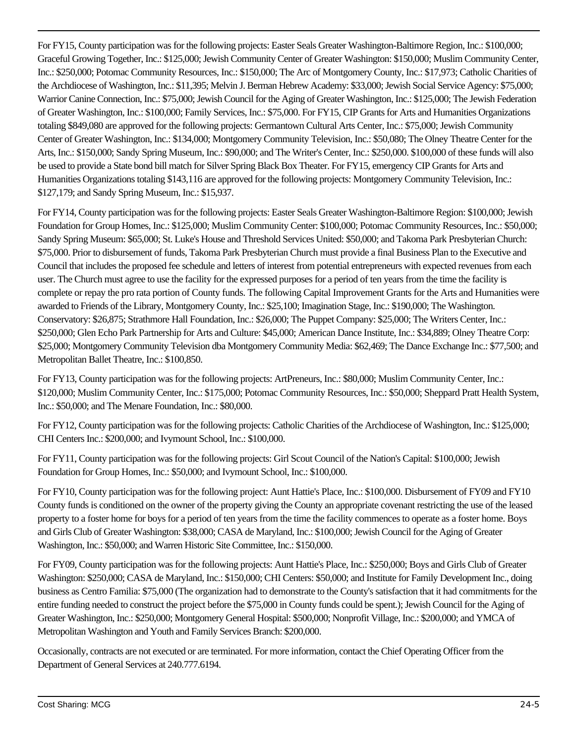For FY15, County participation was for the following projects: Easter Seals Greater Washington-Baltimore Region, Inc.: \$100,000; Graceful Growing Together, Inc.: \$125,000; Jewish Community Center of Greater Washington: \$150,000; Muslim Community Center, Inc.: \$250,000; Potomac Community Resources, Inc.: \$150,000; The Arc of Montgomery County, Inc.: \$17,973; Catholic Charities of the Archdiocese of Washington, Inc.: \$11,395; Melvin J. Berman Hebrew Academy: \$33,000; Jewish Social Service Agency: \$75,000; Warrior Canine Connection, Inc.: \$75,000; Jewish Council for the Aging of Greater Washington, Inc.: \$125,000; The Jewish Federation of Greater Washington, Inc.: \$100,000; Family Services, Inc.: \$75,000. For FY15, CIP Grants for Arts and Humanities Organizations totaling \$849,080 are approved for the following projects: Germantown Cultural Arts Center, Inc.: \$75,000; Jewish Community Center of Greater Washington, Inc.: \$134,000; Montgomery Community Television, Inc.: \$50,080; The Olney Theatre Center for the Arts, Inc.: \$150,000; Sandy Spring Museum, Inc.: \$90,000; and The Writer's Center, Inc.: \$250,000. \$100,000 of these funds will also be used to provide a State bond bill match for Silver Spring Black Box Theater. For FY15, emergency CIP Grants for Arts and Humanities Organizations totaling \$143,116 are approved for the following projects: Montgomery Community Television, Inc.: \$127,179; and Sandy Spring Museum, Inc.: \$15,937.

For FY14, County participation was for the following projects: Easter Seals Greater Washington-Baltimore Region: \$100,000; Jewish Foundation for Group Homes, Inc.: \$125,000; Muslim Community Center: \$100,000; Potomac Community Resources, Inc.: \$50,000; Sandy Spring Museum: \$65,000; St. Luke's House and Threshold Services United: \$50,000; and Takoma Park Presbyterian Church: \$75,000. Prior to disbursement of funds, Takoma Park Presbyterian Church must provide a final Business Plan to the Executive and Council that includes the proposed fee schedule and letters of interest from potential entrepreneurs with expected revenues from each user. The Church must agree to use the facility for the expressed purposes for a period of ten years from the time the facility is complete or repay the pro rata portion of County funds. The following Capital Improvement Grants for the Arts and Humanities were awarded to Friends of the Library, Montgomery County, Inc.: \$25,100; Imagination Stage, Inc.: \$190,000; The Washington. Conservatory: \$26,875; Strathmore Hall Foundation, Inc.: \$26,000; The Puppet Company: \$25,000; The Writers Center, Inc.: \$250,000; Glen Echo Park Partnership for Arts and Culture: \$45,000; American Dance Institute, Inc.: \$34,889; Olney Theatre Corp: \$25,000; Montgomery Community Television dba Montgomery Community Media: \$62,469; The Dance Exchange Inc.: \$77,500; and Metropolitan Ballet Theatre, Inc.: \$100,850.

For FY13, County participation was for the following projects: ArtPreneurs, Inc.: \$80,000; Muslim Community Center, Inc.: \$120,000; Muslim Community Center, Inc.: \$175,000; Potomac Community Resources, Inc.: \$50,000; Sheppard Pratt Health System, Inc.: \$50,000; and The Menare Foundation, Inc.: \$80,000.

For FY12, County participation was for the following projects: Catholic Charities of the Archdiocese of Washington, Inc.: \$125,000; CHI Centers Inc.: \$200,000; and Ivymount School, Inc.: \$100,000.

For FY11, County participation was for the following projects: Girl Scout Council of the Nation's Capital: \$100,000; Jewish Foundation for Group Homes, Inc.: \$50,000; and Ivymount School, Inc.: \$100,000.

For FY10, County participation was for the following project: Aunt Hattie's Place, Inc.: \$100,000. Disbursement of FY09 and FY10 County funds is conditioned on the owner of the property giving the County an appropriate covenant restricting the use of the leased property to a foster home for boys for a period of ten years from the time the facility commences to operate as a foster home. Boys and Girls Club of Greater Washington: \$38,000; CASA de Maryland, Inc.: \$100,000; Jewish Council for the Aging of Greater Washington, Inc.: \$50,000; and Warren Historic Site Committee, Inc.: \$150,000.

For FY09, County participation was for the following projects: Aunt Hattie's Place, Inc.: \$250,000; Boys and Girls Club of Greater Washington: \$250,000; CASA de Maryland, Inc.: \$150,000; CHI Centers: \$50,000; and Institute for Family Development Inc., doing business as Centro Familia: \$75,000 (The organization had to demonstrate to the County's satisfaction that it had commitments for the entire funding needed to construct the project before the \$75,000 in County funds could be spent.); Jewish Council for the Aging of Greater Washington, Inc.: \$250,000; Montgomery General Hospital: \$500,000; Nonprofit Village, Inc.: \$200,000; and YMCA of Metropolitan Washington and Youth and Family Services Branch: \$200,000.

Occasionally, contracts are not executed or are terminated. For more information, contact the Chief Operating Officer from the Department of General Services at 240.777.6194.